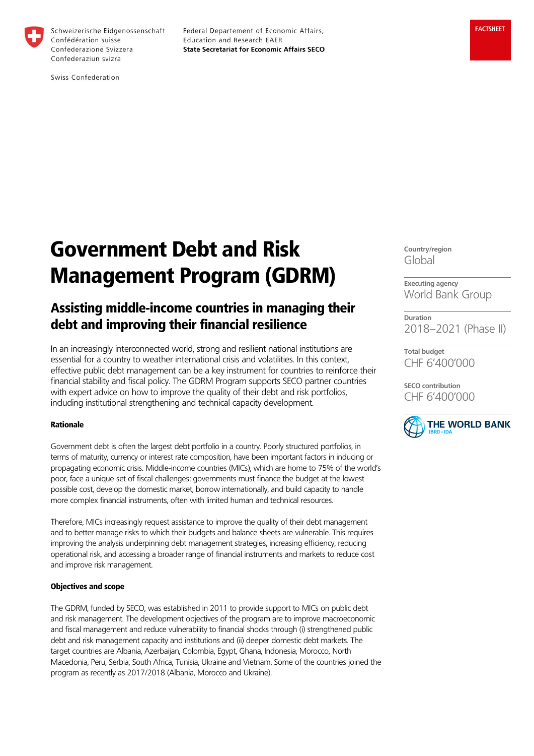

Schweizerische Eidgenossenschaft Confédération suisse Confederazione Svizzera Confederaziun svizra

Federal Departement of Economic Affairs, Education and Research EAER **State Secretariat for Economic Affairs SECO** 

Swiss Confederation

# Government Debt and Risk Management Program (GDRM)

# Assisting middle-income countries in managing their debt and improving their financial resilience

In an increasingly interconnected world, strong and resilient national institutions are essential for a country to weather international crisis and volatilities. In this context, effective public debt management can be a key instrument for countries to reinforce their financial stability and fiscal policy. The GDRM Program supports SECO partner countries with expert advice on how to improve the quality of their debt and risk portfolios, including institutional strengthening and technical capacity development.

#### Rationale

Government debt is often the largest debt portfolio in a country. Poorly structured portfolios, in terms of maturity, currency or interest rate composition, have been important factors in inducing or propagating economic crisis. Middle-income countries (MICs), which are home to 75% of the world's poor, face a unique set of fiscal challenges: governments must finance the budget at the lowest possible cost, develop the domestic market, borrow internationally, and build capacity to handle more complex financial instruments, often with limited human and technical resources.

Therefore, MICs increasingly request assistance to improve the quality of their debt management and to better manage risks to which their budgets and balance sheets are vulnerable. This requires improving the analysis underpinning debt management strategies, increasing efficiency, reducing operational risk, and accessing a broader range of financial instruments and markets to reduce cost and improve risk management.

#### Objectives and scope

The GDRM, funded by SECO, was established in 2011 to provide support to MICs on public debt and risk management. The development objectives of the program are to improve macroeconomic and fiscal management and reduce vulnerability to financial shocks through (i) strengthened public debt and risk management capacity and institutions and (ii) deeper domestic debt markets. The target countries are Albania, Azerbaijan, Colombia, Egypt, Ghana, Indonesia, Morocco, North Macedonia, Peru, Serbia, South Africa, Tunisia, Ukraine and Vietnam. Some of the countries joined the program as recently as 2017/2018 (Albania, Morocco and Ukraine).

**Country/region** Global

**Executing agency** World Bank Group

**Duration** 2018–2021 (Phase II)

**Total budget** CHF 6'400'000

**SECO contribution** CHF 6'400'000